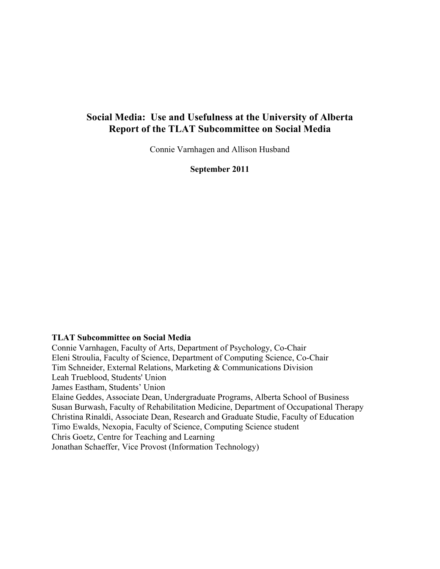# **Social Media: Use and Usefulness at the University of Alberta Report of the TLAT Subcommittee on Social Media**

Connie Varnhagen and Allison Husband

**September 2011**

### **TLAT Subcommittee on Social Media**

Connie Varnhagen, Faculty of Arts, Department of Psychology, Co-Chair Eleni Stroulia, Faculty of Science, Department of Computing Science, Co-Chair Tim Schneider, External Relations, Marketing & Communications Division Leah Trueblood, Students' Union James Eastham, Students' Union Elaine Geddes, Associate Dean, Undergraduate Programs, Alberta School of Business Susan Burwash, Faculty of Rehabilitation Medicine, Department of Occupational Therapy Christina Rinaldi, Associate Dean, Research and Graduate Studie, Faculty of Education Timo Ewalds, Nexopia, Faculty of Science, Computing Science student Chris Goetz, Centre for Teaching and Learning Jonathan Schaeffer, Vice Provost (Information Technology)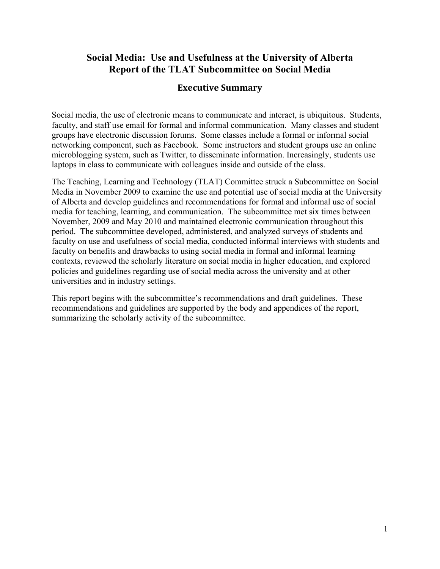# **Social Media: Use and Usefulness at the University of Alberta Report of the TLAT Subcommittee on Social Media**

# **Executive Summary**

Social media, the use of electronic means to communicate and interact, is ubiquitous. Students, faculty, and staff use email for formal and informal communication. Many classes and student groups have electronic discussion forums. Some classes include a formal or informal social networking component, such as Facebook. Some instructors and student groups use an online microblogging system, such as Twitter, to disseminate information. Increasingly, students use laptops in class to communicate with colleagues inside and outside of the class.

The Teaching, Learning and Technology (TLAT) Committee struck a Subcommittee on Social Media in November 2009 to examine the use and potential use of social media at the University of Alberta and develop guidelines and recommendations for formal and informal use of social media for teaching, learning, and communication. The subcommittee met six times between November, 2009 and May 2010 and maintained electronic communication throughout this period. The subcommittee developed, administered, and analyzed surveys of students and faculty on use and usefulness of social media, conducted informal interviews with students and faculty on benefits and drawbacks to using social media in formal and informal learning contexts, reviewed the scholarly literature on social media in higher education, and explored policies and guidelines regarding use of social media across the university and at other universities and in industry settings.

This report begins with the subcommittee's recommendations and draft guidelines. These recommendations and guidelines are supported by the body and appendices of the report, summarizing the scholarly activity of the subcommittee.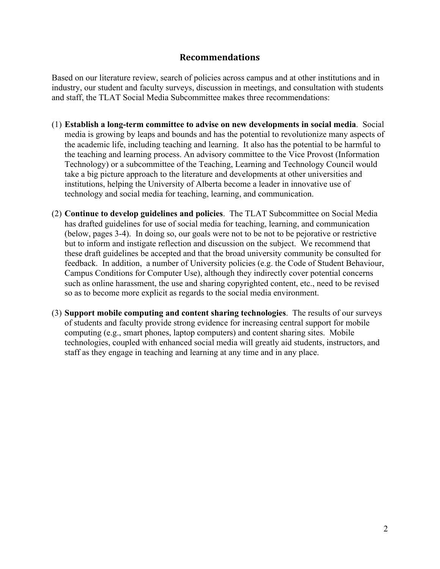## **Recommendations**

Based on our literature review, search of policies across campus and at other institutions and in industry, our student and faculty surveys, discussion in meetings, and consultation with students and staff, the TLAT Social Media Subcommittee makes three recommendations:

- (1) **Establish a long-term committee to advise on new developments in social media**. Social media is growing by leaps and bounds and has the potential to revolutionize many aspects of the academic life, including teaching and learning. It also has the potential to be harmful to the teaching and learning process. An advisory committee to the Vice Provost (Information Technology) or a subcommittee of the Teaching, Learning and Technology Council would take a big picture approach to the literature and developments at other universities and institutions, helping the University of Alberta become a leader in innovative use of technology and social media for teaching, learning, and communication.
- (2) **Continue to develop guidelines and policies**. The TLAT Subcommittee on Social Media has drafted guidelines for use of social media for teaching, learning, and communication (below, pages 3-4). In doing so, our goals were not to be not to be pejorative or restrictive but to inform and instigate reflection and discussion on the subject. We recommend that these draft guidelines be accepted and that the broad university community be consulted for feedback. In addition, a number of University policies (e.g. the Code of Student Behaviour, Campus Conditions for Computer Use), although they indirectly cover potential concerns such as online harassment, the use and sharing copyrighted content, etc., need to be revised so as to become more explicit as regards to the social media environment.
- (3) **Support mobile computing and content sharing technologies**. The results of our surveys of students and faculty provide strong evidence for increasing central support for mobile computing (e.g., smart phones, laptop computers) and content sharing sites. Mobile technologies, coupled with enhanced social media will greatly aid students, instructors, and staff as they engage in teaching and learning at any time and in any place.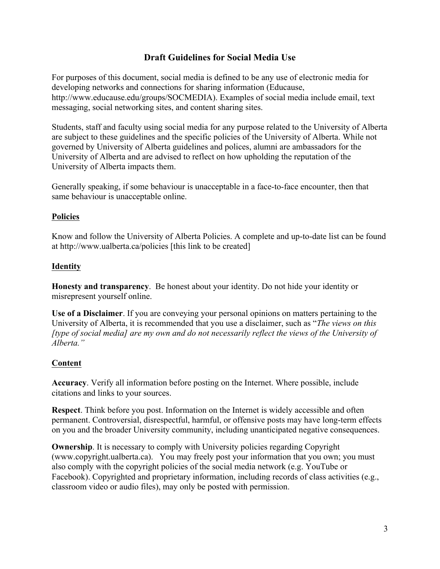# **Draft Guidelines for Social Media Use**

For purposes of this document, social media is defined to be any use of electronic media for developing networks and connections for sharing information (Educause, http://www.educause.edu/groups/SOCMEDIA). Examples of social media include email, text messaging, social networking sites, and content sharing sites.

Students, staff and faculty using social media for any purpose related to the University of Alberta are subject to these guidelines and the specific policies of the University of Alberta. While not governed by University of Alberta guidelines and polices, alumni are ambassadors for the University of Alberta and are advised to reflect on how upholding the reputation of the University of Alberta impacts them.

Generally speaking, if some behaviour is unacceptable in a face-to-face encounter, then that same behaviour is unacceptable online.

### **Policies**

Know and follow the University of Alberta Policies. A complete and up-to-date list can be found at http://www.ualberta.ca/policies [this link to be created]

## **Identity**

**Honesty and transparency**. Be honest about your identity. Do not hide your identity or misrepresent yourself online.

**Use of a Disclaimer**. If you are conveying your personal opinions on matters pertaining to the University of Alberta, it is recommended that you use a disclaimer, such as "*The views on this [type of social media] are my own and do not necessarily reflect the views of the University of Alberta."*

## **Content**

**Accuracy**. Verify all information before posting on the Internet. Where possible, include citations and links to your sources.

**Respect**. Think before you post. Information on the Internet is widely accessible and often permanent. Controversial, disrespectful, harmful, or offensive posts may have long-term effects on you and the broader University community, including unanticipated negative consequences.

**Ownership**. It is necessary to comply with University policies regarding Copyright (www.copyright.ualberta.ca). You may freely post your information that you own; you must also comply with the copyright policies of the social media network (e.g. YouTube or Facebook). Copyrighted and proprietary information, including records of class activities (e.g., classroom video or audio files), may only be posted with permission.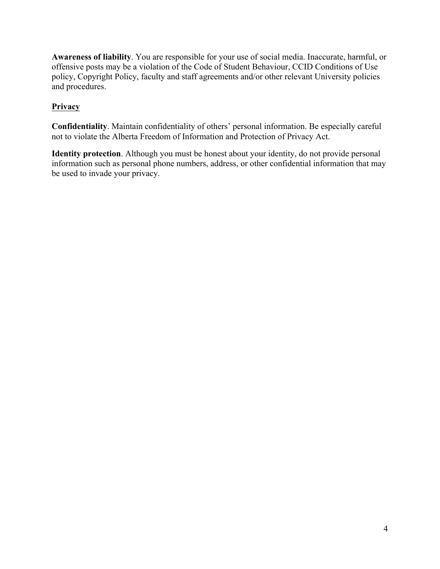**Awareness of liability**. You are responsible for your use of social media. Inaccurate, harmful, or offensive posts may be a violation of the Code of Student Behaviour, CCID Conditions of Use policy, Copyright Policy, faculty and staff agreements and/or other relevant University policies and procedures.

# **Privacy**

**Confidentiality**. Maintain confidentiality of others' personal information. Be especially careful not to violate the Alberta Freedom of Information and Protection of Privacy Act.

**Identity protection**. Although you must be honest about your identity, do not provide personal information such as personal phone numbers, address, or other confidential information that may be used to invade your privacy.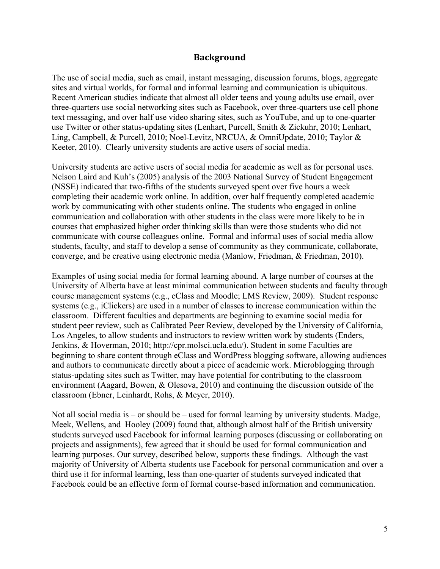## **Background**

The use of social media, such as email, instant messaging, discussion forums, blogs, aggregate sites and virtual worlds, for formal and informal learning and communication is ubiquitous. Recent American studies indicate that almost all older teens and young adults use email, over three-quarters use social networking sites such as Facebook, over three-quarters use cell phone text messaging, and over half use video sharing sites, such as YouTube, and up to one-quarter use Twitter or other status-updating sites (Lenhart, Purcell, Smith & Zickuhr, 2010; Lenhart, Ling, Campbell, & Purcell, 2010; Noel-Levitz, NRCUA, & OmniUpdate, 2010; Taylor & Keeter, 2010). Clearly university students are active users of social media.

University students are active users of social media for academic as well as for personal uses. Nelson Laird and Kuh's (2005) analysis of the 2003 National Survey of Student Engagement (NSSE) indicated that two-fifths of the students surveyed spent over five hours a week completing their academic work online. In addition, over half frequently completed academic work by communicating with other students online. The students who engaged in online communication and collaboration with other students in the class were more likely to be in courses that emphasized higher order thinking skills than were those students who did not communicate with course colleagues online. Formal and informal uses of social media allow students, faculty, and staff to develop a sense of community as they communicate, collaborate, converge, and be creative using electronic media (Manlow, Friedman, & Friedman, 2010).

Examples of using social media for formal learning abound. A large number of courses at the University of Alberta have at least minimal communication between students and faculty through course management systems (e.g., eClass and Moodle; LMS Review, 2009). Student response systems (e.g., iClickers) are used in a number of classes to increase communication within the classroom. Different faculties and departments are beginning to examine social media for student peer review, such as Calibrated Peer Review, developed by the University of California, Los Angeles, to allow students and instructors to review written work by students (Enders, Jenkins, & Hoverman, 2010; http://cpr.molsci.ucla.edu/). Student in some Faculties are beginning to share content through eClass and WordPress blogging software, allowing audiences and authors to communicate directly about a piece of academic work. Microblogging through status-updating sites such as Twitter, may have potential for contributing to the classroom environment (Aagard, Bowen, & Olesova, 2010) and continuing the discussion outside of the classroom (Ebner, Leinhardt, Rohs, & Meyer, 2010).

Not all social media is – or should be – used for formal learning by university students. Madge, Meek, Wellens, and Hooley (2009) found that, although almost half of the British university students surveyed used Facebook for informal learning purposes (discussing or collaborating on projects and assignments), few agreed that it should be used for formal communication and learning purposes. Our survey, described below, supports these findings. Although the vast majority of University of Alberta students use Facebook for personal communication and over a third use it for informal learning, less than one-quarter of students surveyed indicated that Facebook could be an effective form of formal course-based information and communication.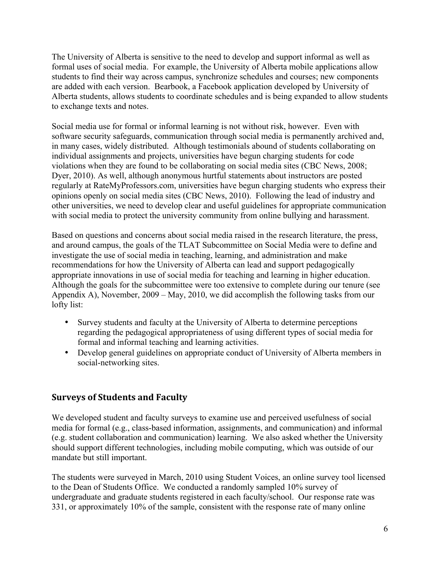The University of Alberta is sensitive to the need to develop and support informal as well as formal uses of social media. For example, the University of Alberta mobile applications allow students to find their way across campus, synchronize schedules and courses; new components are added with each version. Bearbook, a Facebook application developed by University of Alberta students, allows students to coordinate schedules and is being expanded to allow students to exchange texts and notes.

Social media use for formal or informal learning is not without risk, however. Even with software security safeguards, communication through social media is permanently archived and, in many cases, widely distributed. Although testimonials abound of students collaborating on individual assignments and projects, universities have begun charging students for code violations when they are found to be collaborating on social media sites (CBC News, 2008; Dyer, 2010). As well, although anonymous hurtful statements about instructors are posted regularly at RateMyProfessors.com, universities have begun charging students who express their opinions openly on social media sites (CBC News, 2010). Following the lead of industry and other universities, we need to develop clear and useful guidelines for appropriate communication with social media to protect the university community from online bullying and harassment.

Based on questions and concerns about social media raised in the research literature, the press, and around campus, the goals of the TLAT Subcommittee on Social Media were to define and investigate the use of social media in teaching, learning, and administration and make recommendations for how the University of Alberta can lead and support pedagogically appropriate innovations in use of social media for teaching and learning in higher education. Although the goals for the subcommittee were too extensive to complete during our tenure (see Appendix A), November, 2009 – May, 2010, we did accomplish the following tasks from our lofty list:

- Survey students and faculty at the University of Alberta to determine perceptions regarding the pedagogical appropriateness of using different types of social media for formal and informal teaching and learning activities.
- Develop general guidelines on appropriate conduct of University of Alberta members in social-networking sites.

# **Surveys of Students and Faculty**

We developed student and faculty surveys to examine use and perceived usefulness of social media for formal (e.g., class-based information, assignments, and communication) and informal (e.g. student collaboration and communication) learning. We also asked whether the University should support different technologies, including mobile computing, which was outside of our mandate but still important.

The students were surveyed in March, 2010 using Student Voices, an online survey tool licensed to the Dean of Students Office. We conducted a randomly sampled 10% survey of undergraduate and graduate students registered in each faculty/school. Our response rate was 331, or approximately 10% of the sample, consistent with the response rate of many online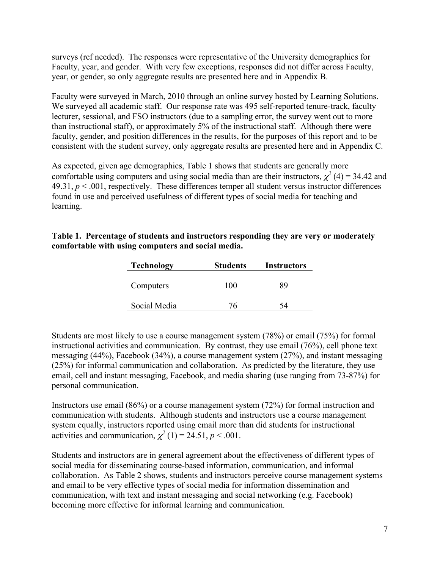surveys (ref needed). The responses were representative of the University demographics for Faculty, year, and gender. With very few exceptions, responses did not differ across Faculty, year, or gender, so only aggregate results are presented here and in Appendix B.

Faculty were surveyed in March, 2010 through an online survey hosted by Learning Solutions. We surveyed all academic staff. Our response rate was 495 self-reported tenure-track, faculty lecturer, sessional, and FSO instructors (due to a sampling error, the survey went out to more than instructional staff), or approximately 5% of the instructional staff. Although there were faculty, gender, and position differences in the results, for the purposes of this report and to be consistent with the student survey, only aggregate results are presented here and in Appendix C.

As expected, given age demographics, Table 1 shows that students are generally more comfortable using computers and using social media than are their instructors,  $\chi^2$  (4) = 34.42 and 49.31,  $p < .001$ , respectively. These differences temper all student versus instructor differences found in use and perceived usefulness of different types of social media for teaching and learning.

| Table 1. Percentage of students and instructors responding they are very or moderately |
|----------------------------------------------------------------------------------------|
| comfortable with using computers and social media.                                     |

| <b>Technology</b> | <b>Students</b> | <b>Instructors</b> |
|-------------------|-----------------|--------------------|
| Computers         | 100             | 89                 |
| Social Media      | 76              | 54                 |

Students are most likely to use a course management system (78%) or email (75%) for formal instructional activities and communication. By contrast, they use email (76%), cell phone text messaging (44%), Facebook (34%), a course management system (27%), and instant messaging (25%) for informal communication and collaboration. As predicted by the literature, they use email, cell and instant messaging, Facebook, and media sharing (use ranging from 73-87%) for personal communication.

Instructors use email (86%) or a course management system (72%) for formal instruction and communication with students. Although students and instructors use a course management system equally, instructors reported using email more than did students for instructional activities and communication,  $\chi^2$  (1) = 24.51, *p* < .001.

Students and instructors are in general agreement about the effectiveness of different types of social media for disseminating course-based information, communication, and informal collaboration. As Table 2 shows, students and instructors perceive course management systems and email to be very effective types of social media for information dissemination and communication, with text and instant messaging and social networking (e.g. Facebook) becoming more effective for informal learning and communication.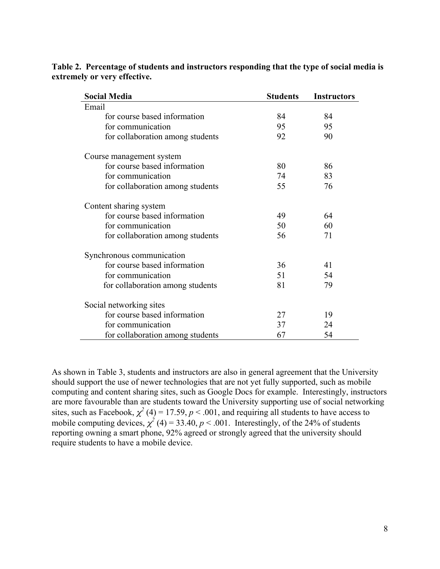| <b>Social Media</b>              | <b>Students</b> | <b>Instructors</b> |
|----------------------------------|-----------------|--------------------|
| Email                            |                 |                    |
| for course based information     | 84              | 84                 |
| for communication                | 95              | 95                 |
| for collaboration among students | 92              | 90                 |
| Course management system         |                 |                    |
| for course based information     | 80              | 86                 |
| for communication                | 74              | 83                 |
| for collaboration among students | 55              | 76                 |
| Content sharing system           |                 |                    |
| for course based information     | 49              | 64                 |
| for communication                | 50              | 60                 |
| for collaboration among students | 56              | 71                 |
| Synchronous communication        |                 |                    |
| for course based information     | 36              | 41                 |
| for communication                | 51              | 54                 |
| for collaboration among students | 81              | 79                 |
| Social networking sites          |                 |                    |
| for course based information     | 27              | 19                 |
| for communication                | 37              | 24                 |
| for collaboration among students | 67              | 54                 |

**Table 2. Percentage of students and instructors responding that the type of social media is extremely or very effective.**

As shown in Table 3, students and instructors are also in general agreement that the University should support the use of newer technologies that are not yet fully supported, such as mobile computing and content sharing sites, such as Google Docs for example. Interestingly, instructors are more favourable than are students toward the University supporting use of social networking sites, such as Facebook,  $\chi^2$  (4) = 17.59,  $p < .001$ , and requiring all students to have access to mobile computing devices,  $\chi^2$  (4) = 33.40,  $p < .001$ . Interestingly, of the 24% of students reporting owning a smart phone, 92% agreed or strongly agreed that the university should require students to have a mobile device.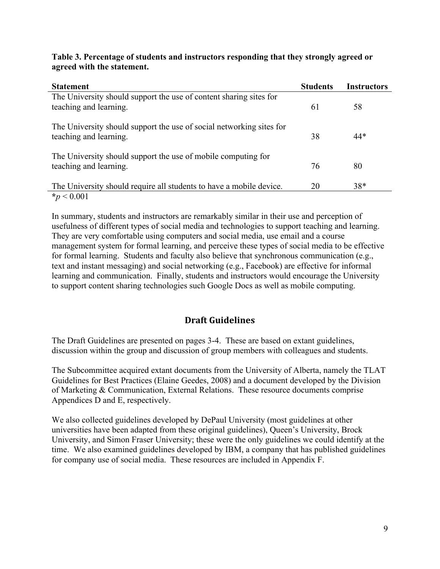### **Table 3. Percentage of students and instructors responding that they strongly agreed or agreed with the statement.**

| <b>Statement</b>                                                                               | <b>Students</b> | <b>Instructors</b> |
|------------------------------------------------------------------------------------------------|-----------------|--------------------|
| The University should support the use of content sharing sites for<br>teaching and learning.   | 61              | 58                 |
| The University should support the use of social networking sites for<br>teaching and learning. | 38              | 44*                |
| The University should support the use of mobile computing for<br>teaching and learning.        | 76              | 80                 |
| The University should require all students to have a mobile device.<br>$*_p$ < 0.001           | 20              | $38*$              |

In summary, students and instructors are remarkably similar in their use and perception of usefulness of different types of social media and technologies to support teaching and learning. They are very comfortable using computers and social media, use email and a course management system for formal learning, and perceive these types of social media to be effective for formal learning. Students and faculty also believe that synchronous communication (e.g., text and instant messaging) and social networking (e.g., Facebook) are effective for informal learning and communication. Finally, students and instructors would encourage the University to support content sharing technologies such Google Docs as well as mobile computing.

# **Draft Guidelines**

The Draft Guidelines are presented on pages 3-4. These are based on extant guidelines, discussion within the group and discussion of group members with colleagues and students.

The Subcommittee acquired extant documents from the University of Alberta, namely the TLAT Guidelines for Best Practices (Elaine Geedes, 2008) and a document developed by the Division of Marketing & Communication, External Relations. These resource documents comprise Appendices D and E, respectively.

We also collected guidelines developed by DePaul University (most guidelines at other universities have been adapted from these original guidelines), Queen's University, Brock University, and Simon Fraser University; these were the only guidelines we could identify at the time. We also examined guidelines developed by IBM, a company that has published guidelines for company use of social media. These resources are included in Appendix F.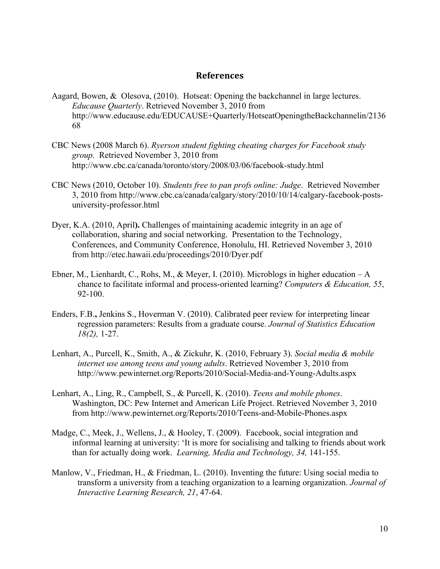### **References**

- Aagard, Bowen, & Olesova, (2010). Hotseat: Opening the backchannel in large lectures. *Educause Quarterly*. Retrieved November 3, 2010 from http://www.educause.edu/EDUCAUSE+Quarterly/HotseatOpeningtheBackchannelin/2136 68
- CBC News (2008 March 6). *Ryerson student fighting cheating charges for Facebook study group.* Retrieved November 3, 2010 from http://www.cbc.ca/canada/toronto/story/2008/03/06/facebook-study.html
- CBC News (2010, October 10). *Students free to pan profs online: Judge*. Retrieved November 3, 2010 from http://www.cbc.ca/canada/calgary/story/2010/10/14/calgary-facebook-postsuniversity-professor.html
- Dyer, K.A. (2010, April**).** Challenges of maintaining academic integrity in an age of collaboration, sharing and social networking. Presentation to the Technology, Conferences, and Community Conference, Honolulu, HI. Retrieved November 3, 2010 from http://etec.hawaii.edu/proceedings/2010/Dyer.pdf
- Ebner, M., Lienhardt, C., Rohs, M., & Meyer, I. (2010). Microblogs in higher education A chance to facilitate informal and process-oriented learning? *Computers & Education, 55*, 92-100.
- Enders, F.B.**,** Jenkins S., Hoverman V. (2010). Calibrated peer review for interpreting linear regression parameters: Results from a graduate course. *Journal of Statistics Education 18(2),* 1-27.
- Lenhart, A., Purcell, K., Smith, A., & Zickuhr, K. (2010, February 3). *Social media & mobile internet use among teens and young adults*. Retrieved November 3, 2010 from http://www.pewinternet.org/Reports/2010/Social-Media-and-Young-Adults.aspx
- Lenhart, A., Ling, R., Campbell, S., & Purcell, K. (2010). *Teens and mobile phones*. Washington, DC: Pew Internet and American Life Project. Retrieved November 3, 2010 from http://www.pewinternet.org/Reports/2010/Teens-and-Mobile-Phones.aspx
- Madge, C., Meek, J., Wellens, J., & Hooley, T. (2009). Facebook, social integration and informal learning at university: 'It is more for socialising and talking to friends about work than for actually doing work. *Learning, Media and Technology, 34,* 141-155.
- Manlow, V., Friedman, H., & Friedman, L. (2010). Inventing the future: Using social media to transform a university from a teaching organization to a learning organization. *Journal of Interactive Learning Research, 21*, 47-64.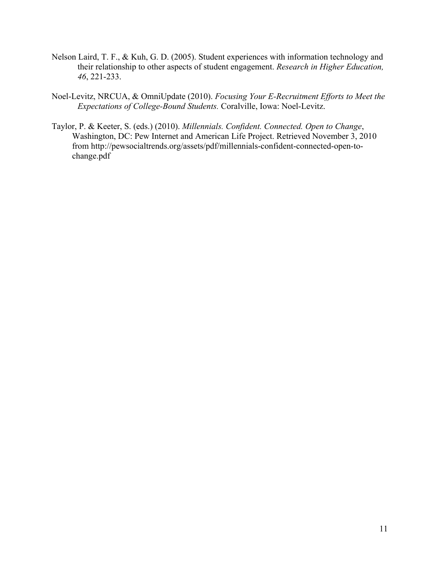- Nelson Laird, T. F., & Kuh, G. D. (2005). Student experiences with information technology and their relationship to other aspects of student engagement. *Research in Higher Education, 46*, 221-233.
- Noel-Levitz, NRCUA, & OmniUpdate (2010). *Focusing Your E-Recruitment Efforts to Meet the Expectations of College-Bound Students.* Coralville, Iowa: Noel-Levitz.
- Taylor, P. & Keeter, S. (eds.) (2010). *Millennials. Confident. Connected. Open to Change*, Washington, DC: Pew Internet and American Life Project. Retrieved November 3, 2010 from http://pewsocialtrends.org/assets/pdf/millennials-confident-connected-open-tochange.pdf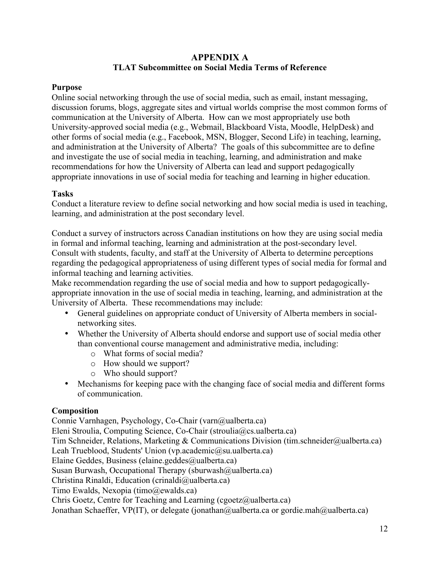# **APPENDIX A TLAT Subcommittee on Social Media Terms of Reference**

### **Purpose**

Online social networking through the use of social media, such as email, instant messaging, discussion forums, blogs, aggregate sites and virtual worlds comprise the most common forms of communication at the University of Alberta. How can we most appropriately use both University-approved social media (e.g., Webmail, Blackboard Vista, Moodle, HelpDesk) and other forms of social media (e.g., Facebook, MSN, Blogger, Second Life) in teaching, learning, and administration at the University of Alberta? The goals of this subcommittee are to define and investigate the use of social media in teaching, learning, and administration and make recommendations for how the University of Alberta can lead and support pedagogically appropriate innovations in use of social media for teaching and learning in higher education.

### **Tasks**

Conduct a literature review to define social networking and how social media is used in teaching, learning, and administration at the post secondary level.

Conduct a survey of instructors across Canadian institutions on how they are using social media in formal and informal teaching, learning and administration at the post-secondary level. Consult with students, faculty, and staff at the University of Alberta to determine perceptions regarding the pedagogical appropriateness of using different types of social media for formal and informal teaching and learning activities.

Make recommendation regarding the use of social media and how to support pedagogicallyappropriate innovation in the use of social media in teaching, learning, and administration at the University of Alberta. These recommendations may include:

- General guidelines on appropriate conduct of University of Alberta members in socialnetworking sites.
- Whether the University of Alberta should endorse and support use of social media other than conventional course management and administrative media, including:
	- o What forms of social media?
	- o How should we support?
	- o Who should support?
- Mechanisms for keeping pace with the changing face of social media and different forms of communication.

## **Composition**

Connie Varnhagen, Psychology, Co-Chair (varn@ualberta.ca) Eleni Stroulia, Computing Science, Co-Chair (stroulia@cs.ualberta.ca) Tim Schneider, Relations, Marketing & Communications Division (tim.schneider@ualberta.ca) Leah Trueblood, Students' Union (vp.academic@su.ualberta.ca) Elaine Geddes, Business (elaine.geddes@ualberta.ca) Susan Burwash, Occupational Therapy (sburwash@ualberta.ca) Christina Rinaldi, Education (crinaldi@ualberta.ca) Timo Ewalds, Nexopia (timo@ewalds.ca) Chris Goetz, Centre for Teaching and Learning (cgoetz@ualberta.ca) Jonathan Schaeffer, VP(IT), or delegate (jonathan@ualberta.ca or gordie.mah@ualberta.ca)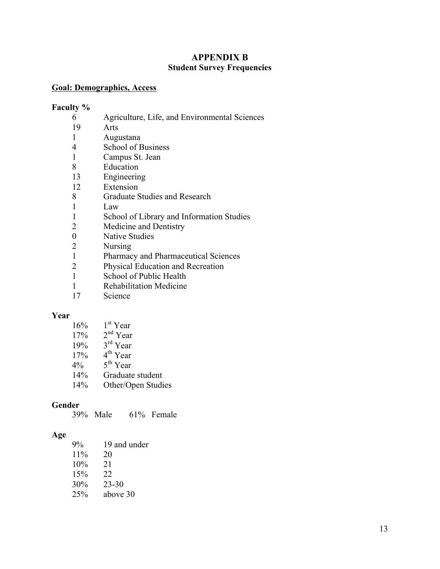## **APPENDIX B Student Survey Frequencies**

### **Goal: Demographics, Access**

### **Faculty %**

- 6 Agriculture, Life, and Environmental Sciences
- 19 Arts
- 1 Augustana
- 4 School of Business
- 1 Campus St. Jean
- 8 Education
- 13 Engineering
- 12 Extension
- 8 Graduate Studies and Research
- 1 Law
- 1 School of Library and Information Studies
- 2 Medicine and Dentistry
- 0 Native Studies
- 2 Nursing
- 1 Pharmacy and Pharmaceutical Sciences
- 2 Physical Education and Recreation
- 1 School of Public Health
- 1 Rehabilitation Medicine
- 17 Science

### **Year**

| 16% | 1 <sup>st</sup> Year |
|-----|----------------------|
|     |                      |

- $17\%$  2<sup>nd</sup> Year
- $19\%$   $3^{\text{rd}}$  Year
- $17\%$  4<sup>th</sup> Year
- $4\%$  5<sup>th</sup> Year
- 14% Graduate student
- 14% Other/Open Studies

## **Gender**

39% Male 61% Female

## **Age**

| $9\%$ | 19 and under |
|-------|--------------|
| 11%   | 20           |
| 10%   | 21           |
| 15%   | 22           |
| 30%   | $23 - 30$    |
| 25%   | above 30     |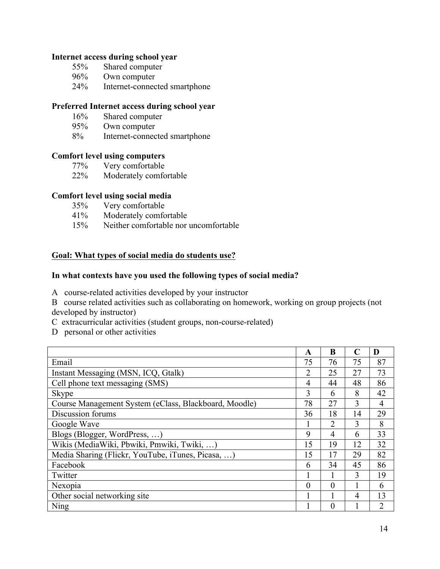#### **Internet access during school year**

- 55% Shared computer
- 96% Own computer
- 24% Internet-connected smartphone

### **Preferred Internet access during school year**

- 16% Shared computer
- 95% Own computer
- 8% Internet-connected smartphone

### **Comfort level using computers**

- 77% Very comfortable
- 22% Moderately comfortable

### **Comfort level using social media**

- 35% Very comfortable
- 41% Moderately comfortable
- 15% Neither comfortable nor uncomfortable

#### **Goal: What types of social media do students use?**

#### **In what contexts have you used the following types of social media?**

- A course-related activities developed by your instructor
- B course related activities such as collaborating on homework, working on group projects (not developed by instructor)
- C extracurricular activities (student groups, non-course-related)
- D personal or other activities

|                                                       | A        | B              |    | D              |
|-------------------------------------------------------|----------|----------------|----|----------------|
| Email                                                 | 75       | 76             | 75 | 87             |
| Instant Messaging (MSN, ICQ, Gtalk)                   | 2        | 25             | 27 | 73             |
| Cell phone text messaging (SMS)                       | 4        | 44             | 48 | 86             |
| <b>Skype</b>                                          | 3        | 6              | 8  | 42             |
| Course Management System (eClass, Blackboard, Moodle) | 78       | 27             | 3  | $\overline{4}$ |
| Discussion forums                                     | 36       | 18             | 14 | 29             |
| Google Wave                                           |          | $\overline{2}$ | 3  | 8              |
| Blogs (Blogger, WordPress, )                          | 9        | 4              | 6  | 33             |
| Wikis (MediaWiki, Pbwiki, Pmwiki, Twiki, )            | 15       | 19             | 12 | 32             |
| Media Sharing (Flickr, YouTube, iTunes, Picasa, )     | 15       | 17             | 29 | 82             |
| Facebook                                              | 6        | 34             | 45 | 86             |
| Twitter                                               |          | 1              | 3  | 19             |
| Nexopia                                               | $\theta$ | $\theta$       |    | 6              |
| Other social networking site                          |          |                | 4  | 13             |
| Ning                                                  |          | $\Omega$       |    | 2              |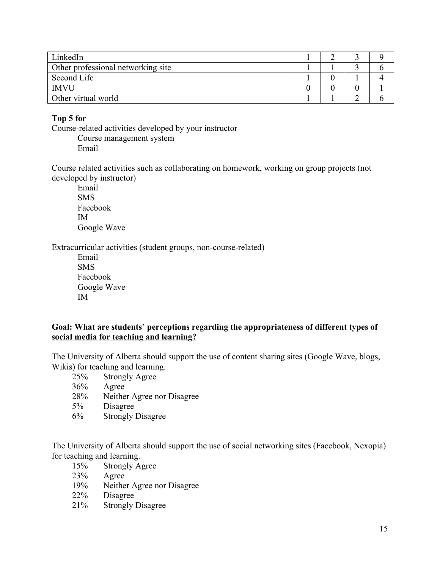| LinkedIn                           |  |  |
|------------------------------------|--|--|
| Other professional networking site |  |  |
| Second Life                        |  |  |
| <b>IMVU</b>                        |  |  |
| Other virtual world                |  |  |

## **Top 5 for**

Course-related activities developed by your instructor Course management system

Email

Course related activities such as collaborating on homework, working on group projects (not developed by instructor)

Email SMS Facebook IM Google Wave

Extracurricular activities (student groups, non-course-related)

Email SMS Facebook Google Wave IM

### **Goal: What are students' perceptions regarding the appropriateness of different types of social media for teaching and learning?**

The University of Alberta should support the use of content sharing sites (Google Wave, blogs, Wikis) for teaching and learning.

- 25% Strongly Agree
- 36% Agree
- 28% Neither Agree nor Disagree
- 5% Disagree
- 6% Strongly Disagree

The University of Alberta should support the use of social networking sites (Facebook, Nexopia) for teaching and learning.

- 15% Strongly Agree
- 23% Agree
- 19% Neither Agree nor Disagree
- 22% Disagree
- 21% Strongly Disagree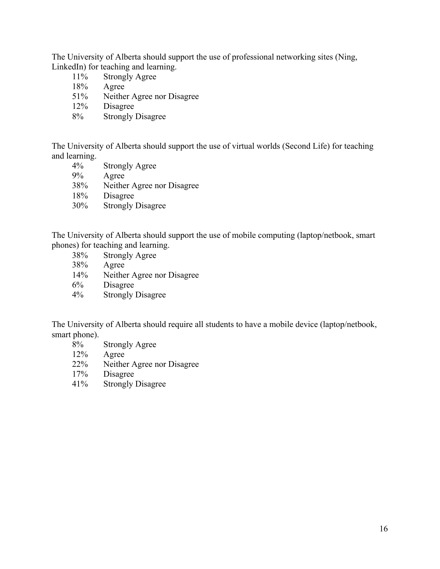The University of Alberta should support the use of professional networking sites (Ning, LinkedIn) for teaching and learning.

- 11% Strongly Agree
- 18% Agree
- 51% Neither Agree nor Disagree
- 12% Disagree
- 8% Strongly Disagree

The University of Alberta should support the use of virtual worlds (Second Life) for teaching and learning.

- 4% Strongly Agree 9% Agree 38% Neither Agree nor Disagree 18% Disagree
- 30% Strongly Disagree

The University of Alberta should support the use of mobile computing (laptop/netbook, smart phones) for teaching and learning.

- 38% Strongly Agree
- 38% Agree
- 14% Neither Agree nor Disagree
- 6% Disagree
- 4% Strongly Disagree

The University of Alberta should require all students to have a mobile device (laptop/netbook, smart phone).

- 8% Strongly Agree
- 12% Agree
- 22% Neither Agree nor Disagree
- 17% Disagree
- 41% Strongly Disagree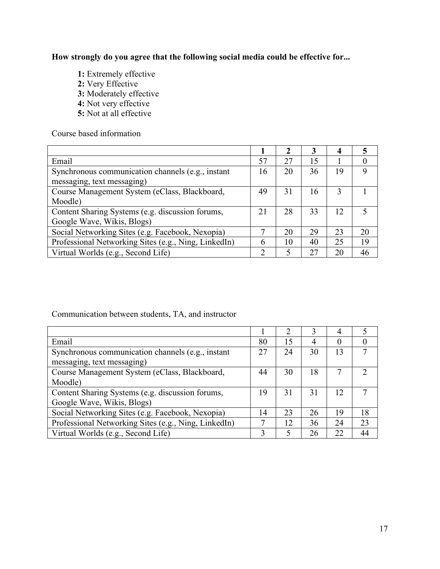**How strongly do you agree that the following social media could be effective for...**

**1:** Extremely effective **2:** Very Effective **3:** Moderately effective **4:** Not very effective **5:** Not at all effective

Course based information

|                                                      |    | 2  |    |    | C. |
|------------------------------------------------------|----|----|----|----|----|
| Email                                                | 57 | 27 | 15 |    |    |
| Synchronous communication channels (e.g., instant    | 16 | 20 | 36 | 19 | 9  |
| messaging, text messaging)                           |    |    |    |    |    |
| Course Management System (eClass, Blackboard,        | 49 | 31 | 16 | 3  |    |
| Moodle)                                              |    |    |    |    |    |
| Content Sharing Systems (e.g. discussion forums,     | 21 | 28 | 33 | 12 |    |
| Google Wave, Wikis, Blogs)                           |    |    |    |    |    |
| Social Networking Sites (e.g. Facebook, Nexopia)     |    | 20 | 29 | 23 | 20 |
| Professional Networking Sites (e.g., Ning, LinkedIn) | h  | 10 | 40 | 25 | 19 |
| Virtual Worlds (e.g., Second Life)                   | ↑  | 5  | 27 | 20 | 46 |

Communication between students, TA, and instructor

|                                                      |    |    |    | 4  |    |
|------------------------------------------------------|----|----|----|----|----|
| Email                                                | 80 | 15 | 4  |    |    |
| Synchronous communication channels (e.g., instant    | 27 | 24 | 30 | 13 |    |
| messaging, text messaging)                           |    |    |    |    |    |
| Course Management System (eClass, Blackboard,        | 44 | 30 | 18 |    |    |
| Moodle)                                              |    |    |    |    |    |
| Content Sharing Systems (e.g. discussion forums,     | 19 | 31 | 31 | 12 |    |
| Google Wave, Wikis, Blogs)                           |    |    |    |    |    |
| Social Networking Sites (e.g. Facebook, Nexopia)     | 14 | 23 | 26 | 19 | 18 |
| Professional Networking Sites (e.g., Ning, LinkedIn) |    | 12 | 36 | 24 | 23 |
| Virtual Worlds (e.g., Second Life)                   |    |    | 26 | 22 | 44 |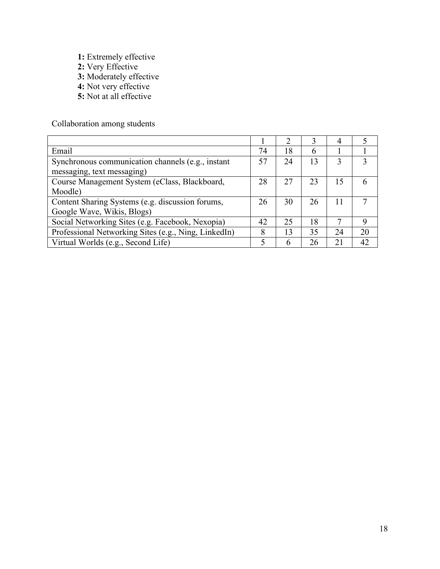- **1:** Extremely effective
- **2:** Very Effective
- **3:** Moderately effective
- **4:** Not very effective
- **5:** Not at all effective

Collaboration among students

|                                                      |    | ာ  | 3  | 4  |    |
|------------------------------------------------------|----|----|----|----|----|
| Email                                                | 74 | 18 | 6  |    |    |
| Synchronous communication channels (e.g., instant    | 57 | 24 | 13 | 3  | 3  |
| messaging, text messaging)                           |    |    |    |    |    |
| Course Management System (eClass, Blackboard,        | 28 | 27 | 23 | 15 |    |
| Moodle)                                              |    |    |    |    |    |
| Content Sharing Systems (e.g. discussion forums,     | 26 | 30 | 26 | 11 |    |
| Google Wave, Wikis, Blogs)                           |    |    |    |    |    |
| Social Networking Sites (e.g. Facebook, Nexopia)     | 42 | 25 | 18 |    | 9  |
| Professional Networking Sites (e.g., Ning, LinkedIn) | 8  | 13 | 35 | 24 | 20 |
| Virtual Worlds (e.g., Second Life)                   |    | 6  | 26 | 21 | 42 |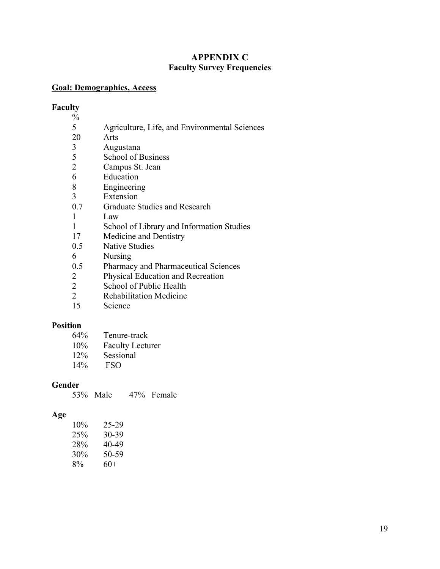# **APPENDIX C Faculty Survey Frequencies**

### **Goal: Demographics, Access**

### **Faculty**

- $\frac{9}{6}$ 5 Agriculture, Life, and Environmental Sciences
- 20 Arts
- 3 Augustana
- 5 School of Business<br>2 Campus St. Jean
- Campus St. Jean
- 6 Education
- 8 Engineering
- 3 Extension
- 0.7 Graduate Studies and Research
- 1 Law
- 1 School of Library and Information Studies
- 17 Medicine and Dentistry
- 0.5 Native Studies
- 6 Nursing
- 0.5 Pharmacy and Pharmaceutical Sciences
- 2 Physical Education and Recreation
- 2 School of Public Health
- 2 Rehabilitation Medicine
- 15 Science

### **Position**

- 64% Tenure-track
- 10% Faculty Lecturer
- 12% Sessional
- 14% FSO

## **Gender**

53% Male 47% Female

## **Age**

| $10\%$ | 25-29   |
|--------|---------|
| 25%    | $30-39$ |
| 28%    | 40-49   |
| 30%    | 50-59   |
| 8%     | $60+$   |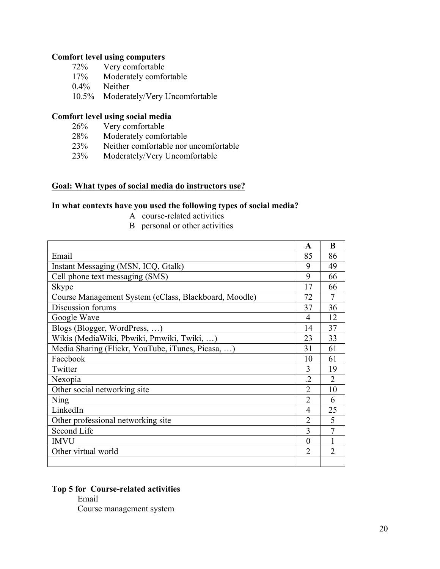### **Comfort level using computers**

- 72% Very comfortable
- 17% Moderately comfortable
- 0.4% Neither
- 10.5% Moderately/Very Uncomfortable

### **Comfort level using social media**

- 26% Very comfortable
- 28% Moderately comfortable
- 23% Neither comfortable nor uncomfortable
- 23% Moderately/Very Uncomfortable

## **Goal: What types of social media do instructors use?**

#### **In what contexts have you used the following types of social media?**

- A course-related activities
- B personal or other activities

|                                                       | A              | B                           |
|-------------------------------------------------------|----------------|-----------------------------|
| Email                                                 | 85             | 86                          |
| Instant Messaging (MSN, ICQ, Gtalk)                   | 9              | 49                          |
| Cell phone text messaging (SMS)                       | 9              | 66                          |
| Skype                                                 | 17             | 66                          |
| Course Management System (eClass, Blackboard, Moodle) | 72             | 7                           |
| Discussion forums                                     | 37             | 36                          |
| Google Wave                                           | 4              | 12                          |
| Blogs (Blogger, WordPress, )                          | 14             | 37                          |
| Wikis (MediaWiki, Pbwiki, Pmwiki, Twiki, )            | 23             | 33                          |
| Media Sharing (Flickr, YouTube, iTunes, Picasa, )     | 31             | 61                          |
| Facebook                                              | 10             | 61                          |
| Twitter                                               | 3              | 19                          |
| Nexopia                                               | .2             | $\mathcal{D}_{\mathcal{L}}$ |
| Other social networking site                          | $\overline{2}$ | 10                          |
| Ning                                                  | $\overline{2}$ | 6                           |
| LinkedIn                                              | 4              | 25                          |
| Other professional networking site                    | 2              | 5                           |
| Second Life                                           | 3              |                             |
| <b>IMVU</b>                                           | $\Omega$       |                             |
| Other virtual world                                   | $\overline{2}$ | $\overline{2}$              |
|                                                       |                |                             |

## **Top 5 for Course-related activities**

Email

Course management system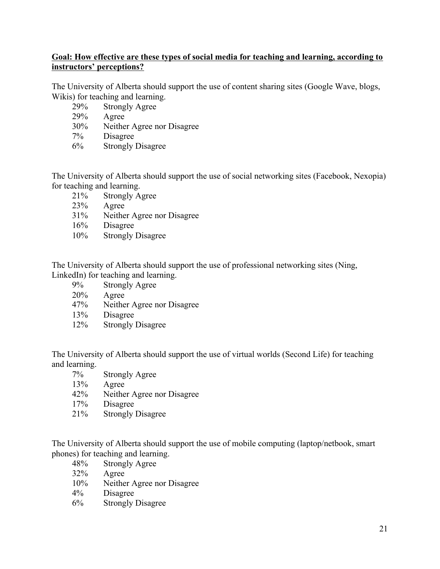## **Goal: How effective are these types of social media for teaching and learning, according to instructors' perceptions?**

The University of Alberta should support the use of content sharing sites (Google Wave, blogs, Wikis) for teaching and learning.

- 29% Strongly Agree
- 29% Agree
- 30% Neither Agree nor Disagree
- 7% Disagree
- 6% Strongly Disagree

The University of Alberta should support the use of social networking sites (Facebook, Nexopia) for teaching and learning.

- 21% Strongly Agree
- 23% Agree
- 31% Neither Agree nor Disagree
- 16% Disagree
- 10% Strongly Disagree

The University of Alberta should support the use of professional networking sites (Ning, LinkedIn) for teaching and learning.

- 9% Strongly Agree
- 20% Agree
- 47% Neither Agree nor Disagree
- 13% Disagree
- 12% Strongly Disagree

The University of Alberta should support the use of virtual worlds (Second Life) for teaching and learning.

- 7% Strongly Agree
- 13% Agree
- 42% Neither Agree nor Disagree
- 17% Disagree
- 21% Strongly Disagree

The University of Alberta should support the use of mobile computing (laptop/netbook, smart phones) for teaching and learning.

- 48% Strongly Agree
- 32% Agree
- 10% Neither Agree nor Disagree
- 4% Disagree
- 6% Strongly Disagree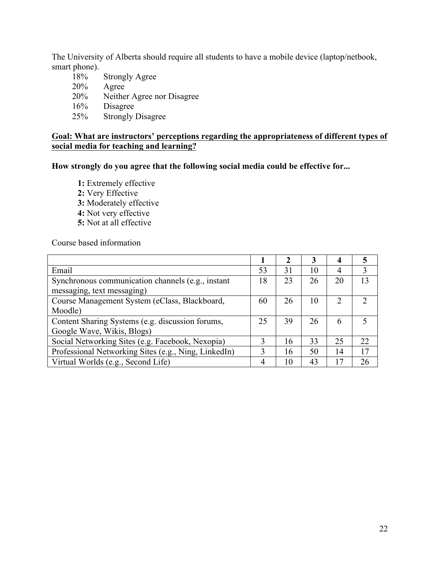The University of Alberta should require all students to have a mobile device (laptop/netbook, smart phone).

18% Strongly Agree 20% Agree 20% Neither Agree nor Disagree 16% Disagree 25% Strongly Disagree

### **Goal: What are instructors' perceptions regarding the appropriateness of different types of social media for teaching and learning?**

**How strongly do you agree that the following social media could be effective for...**

- **1:** Extremely effective
- **2:** Very Effective
- **3:** Moderately effective
- **4:** Not very effective
- **5:** Not at all effective

Course based information

|                                                      |    | $\mathbf 2$ | 3  | 4              |    |
|------------------------------------------------------|----|-------------|----|----------------|----|
| Email                                                | 53 | 31          | 10 | 4              | 3  |
| Synchronous communication channels (e.g., instant    | 18 | 23          | 26 | 20             | 13 |
| messaging, text messaging)                           |    |             |    |                |    |
| Course Management System (eClass, Blackboard,        | 60 | 26          | 10 | $\overline{2}$ |    |
| Moodle)                                              |    |             |    |                |    |
| Content Sharing Systems (e.g. discussion forums,     | 25 | 39          | 26 | 6              |    |
| Google Wave, Wikis, Blogs)                           |    |             |    |                |    |
| Social Networking Sites (e.g. Facebook, Nexopia)     | 3  | 16          | 33 | 25             | 22 |
| Professional Networking Sites (e.g., Ning, LinkedIn) | 3  | 16          | 50 | 14             | 17 |
| Virtual Worlds (e.g., Second Life)                   | 4  | 10          | 43 | 17             | 26 |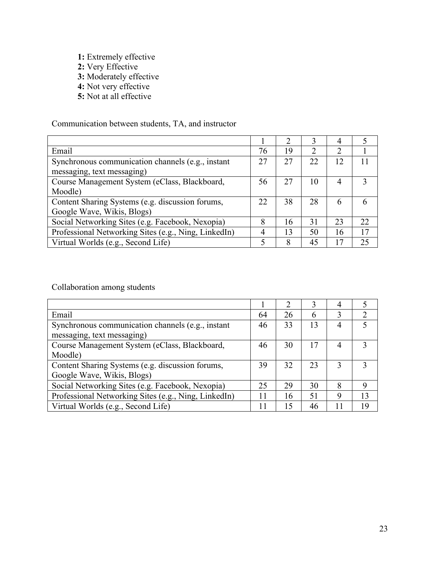- **1:** Extremely effective
- **2:** Very Effective
- **3:** Moderately effective
- **4:** Not very effective
- **5:** Not at all effective

Communication between students, TA, and instructor

| Email                                                | 76 | 19 | $\mathcal{D}_{\mathcal{L}}$ | 2              |    |
|------------------------------------------------------|----|----|-----------------------------|----------------|----|
| Synchronous communication channels (e.g., instant    | 27 | 27 | 22                          | 12             |    |
| messaging, text messaging)                           |    |    |                             |                |    |
| Course Management System (eClass, Blackboard,        | 56 | 27 | 10                          | $\overline{4}$ | 3  |
| Moodle)                                              |    |    |                             |                |    |
| Content Sharing Systems (e.g. discussion forums,     | 22 | 38 | 28                          | 6              |    |
| Google Wave, Wikis, Blogs)                           |    |    |                             |                |    |
| Social Networking Sites (e.g. Facebook, Nexopia)     | 8  | 16 | 31                          | 23             | 22 |
| Professional Networking Sites (e.g., Ning, LinkedIn) | 4  | 13 | 50                          | 16             | 17 |
| Virtual Worlds (e.g., Second Life)                   |    | 8  | 45                          | 17             | 25 |

Collaboration among students

|                                                      |    | $\mathcal{D}_{\mathcal{L}}$ |    |    |    |
|------------------------------------------------------|----|-----------------------------|----|----|----|
| Email                                                | 64 | 26                          | 6  | 3  | 2  |
| Synchronous communication channels (e.g., instant    | 46 | 33                          | 13 | 4  |    |
| messaging, text messaging)                           |    |                             |    |    |    |
| Course Management System (eClass, Blackboard,        | 46 | 30                          | 17 | 4  |    |
| Moodle)                                              |    |                             |    |    |    |
| Content Sharing Systems (e.g. discussion forums,     | 39 | 32                          | 23 |    | 3  |
| Google Wave, Wikis, Blogs)                           |    |                             |    |    |    |
| Social Networking Sites (e.g. Facebook, Nexopia)     | 25 | 29                          | 30 | 8  | 9  |
| Professional Networking Sites (e.g., Ning, LinkedIn) | 11 | 16                          | 51 | 9  | 13 |
| Virtual Worlds (e.g., Second Life)                   | 11 | 15                          | 46 | 11 | 19 |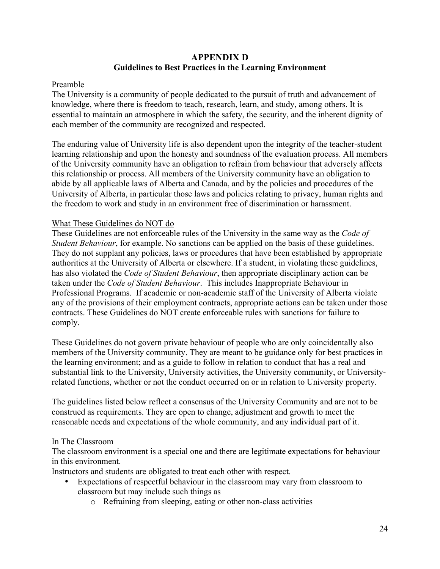# **APPENDIX D Guidelines to Best Practices in the Learning Environment**

### Preamble

The University is a community of people dedicated to the pursuit of truth and advancement of knowledge, where there is freedom to teach, research, learn, and study, among others. It is essential to maintain an atmosphere in which the safety, the security, and the inherent dignity of each member of the community are recognized and respected.

The enduring value of University life is also dependent upon the integrity of the teacher-student learning relationship and upon the honesty and soundness of the evaluation process. All members of the University community have an obligation to refrain from behaviour that adversely affects this relationship or process. All members of the University community have an obligation to abide by all applicable laws of Alberta and Canada, and by the policies and procedures of the University of Alberta, in particular those laws and policies relating to privacy, human rights and the freedom to work and study in an environment free of discrimination or harassment.

### What These Guidelines do NOT do

These Guidelines are not enforceable rules of the University in the same way as the *Code of Student Behaviour*, for example. No sanctions can be applied on the basis of these guidelines. They do not supplant any policies, laws or procedures that have been established by appropriate authorities at the University of Alberta or elsewhere. If a student, in violating these guidelines, has also violated the *Code of Student Behaviour*, then appropriate disciplinary action can be taken under the *Code of Student Behaviour*. This includes Inappropriate Behaviour in Professional Programs. If academic or non-academic staff of the University of Alberta violate any of the provisions of their employment contracts, appropriate actions can be taken under those contracts. These Guidelines do NOT create enforceable rules with sanctions for failure to comply.

These Guidelines do not govern private behaviour of people who are only coincidentally also members of the University community. They are meant to be guidance only for best practices in the learning environment; and as a guide to follow in relation to conduct that has a real and substantial link to the University, University activities, the University community, or Universityrelated functions, whether or not the conduct occurred on or in relation to University property.

The guidelines listed below reflect a consensus of the University Community and are not to be construed as requirements. They are open to change, adjustment and growth to meet the reasonable needs and expectations of the whole community, and any individual part of it.

### In The Classroom

The classroom environment is a special one and there are legitimate expectations for behaviour in this environment.

Instructors and students are obligated to treat each other with respect.

- Expectations of respectful behaviour in the classroom may vary from classroom to classroom but may include such things as
	- o Refraining from sleeping, eating or other non-class activities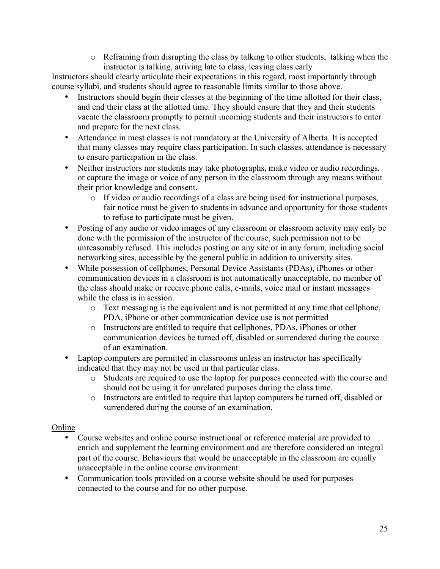$\circ$  Refraining from disrupting the class by talking to other students, talking when the instructor is talking, arriving late to class, leaving class early

Instructors should clearly articulate their expectations in this regard, most importantly through course syllabi, and students should agree to reasonable limits similar to those above.

- Instructors should begin their classes at the beginning of the time allotted for their class, and end their class at the allotted time. They should ensure that they and their students vacate the classroom promptly to permit incoming students and their instructors to enter and prepare for the next class.
- Attendance in most classes is not mandatory at the University of Alberta. It is accepted that many classes may require class participation. In such classes, attendance is necessary to ensure participation in the class.
- Neither instructors nor students may take photographs, make video or audio recordings, or capture the image or voice of any person in the classroom through any means without their prior knowledge and consent.
	- o If video or audio recordings of a class are being used for instructional purposes, fair notice must be given to students in advance and opportunity for those students to refuse to participate must be given.
- Posting of any audio or video images of any classroom or classroom activity may only be done with the permission of the instructor of the course, such permission not to be unreasonably refused. This includes posting on any site or in any forum, including social networking sites, accessible by the general public in addition to university sites.
- While possession of cellphones, Personal Device Assistants (PDAs), iPhones or other communication devices in a classroom is not automatically unacceptable, no member of the class should make or receive phone calls, e-mails, voice mail or instant messages while the class is in session.
	- o Text messaging is the equivalent and is not permitted at any time that cellphone, PDA, iPhone or other communication device use is not permitted
	- o Instructors are entitled to require that cellphones, PDAs, iPhones or other communication devices be turned off, disabled or surrendered during the course of an examination.
- Laptop computers are permitted in classrooms unless an instructor has specifically indicated that they may not be used in that particular class.
	- o Students are required to use the laptop for purposes connected with the course and should not be using it for unrelated purposes during the class time.
	- o Instructors are entitled to require that laptop computers be turned off, disabled or surrendered during the course of an examination.

## Online

- Course websites and online course instructional or reference material are provided to enrich and supplement the learning environment and are therefore considered an integral part of the course. Behaviours that would be unacceptable in the classroom are equally unacceptable in the online course environment.
- Communication tools provided on a course website should be used for purposes connected to the course and for no other purpose.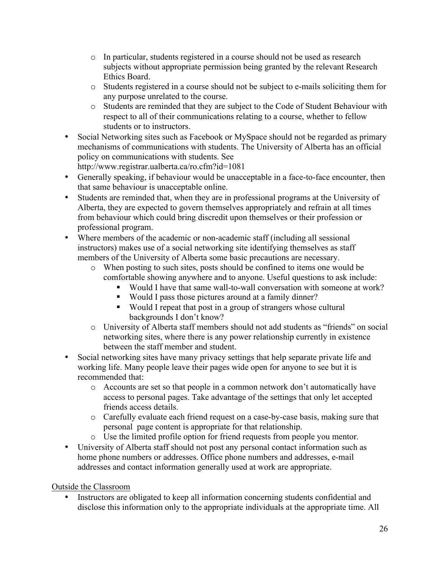- o In particular, students registered in a course should not be used as research subjects without appropriate permission being granted by the relevant Research Ethics Board.
- o Students registered in a course should not be subject to e-mails soliciting them for any purpose unrelated to the course.
- o Students are reminded that they are subject to the Code of Student Behaviour with respect to all of their communications relating to a course, whether to fellow students or to instructors.
- Social Networking sites such as Facebook or MySpace should not be regarded as primary mechanisms of communications with students. The University of Alberta has an official policy on communications with students. See http://www.registrar.ualberta.ca/ro.cfm?id=1081
- Generally speaking, if behaviour would be unacceptable in a face-to-face encounter, then that same behaviour is unacceptable online.
- Students are reminded that, when they are in professional programs at the University of Alberta, they are expected to govern themselves appropriately and refrain at all times from behaviour which could bring discredit upon themselves or their profession or professional program.
- Where members of the academic or non-academic staff (including all sessional instructors) makes use of a social networking site identifying themselves as staff members of the University of Alberta some basic precautions are necessary.
	- o When posting to such sites, posts should be confined to items one would be comfortable showing anywhere and to anyone. Useful questions to ask include:
		- § Would I have that same wall-to-wall conversation with someone at work?
		- § Would I pass those pictures around at a family dinner?
		- Would I repeat that post in a group of strangers whose cultural backgrounds I don't know?
	- o University of Alberta staff members should not add students as "friends" on social networking sites, where there is any power relationship currently in existence between the staff member and student.
- Social networking sites have many privacy settings that help separate private life and working life. Many people leave their pages wide open for anyone to see but it is recommended that:
	- o Accounts are set so that people in a common network don't automatically have access to personal pages. Take advantage of the settings that only let accepted friends access details.
	- o Carefully evaluate each friend request on a case-by-case basis, making sure that personal page content is appropriate for that relationship.
	- o Use the limited profile option for friend requests from people you mentor.
- University of Alberta staff should not post any personal contact information such as home phone numbers or addresses. Office phone numbers and addresses, e-mail addresses and contact information generally used at work are appropriate.

# Outside the Classroom

Instructors are obligated to keep all information concerning students confidential and disclose this information only to the appropriate individuals at the appropriate time. All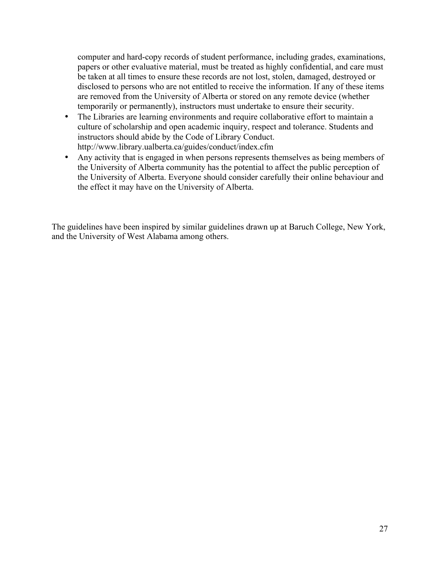computer and hard-copy records of student performance, including grades, examinations, papers or other evaluative material, must be treated as highly confidential, and care must be taken at all times to ensure these records are not lost, stolen, damaged, destroyed or disclosed to persons who are not entitled to receive the information. If any of these items are removed from the University of Alberta or stored on any remote device (whether temporarily or permanently), instructors must undertake to ensure their security.

- The Libraries are learning environments and require collaborative effort to maintain a culture of scholarship and open academic inquiry, respect and tolerance. Students and instructors should abide by the Code of Library Conduct. http://www.library.ualberta.ca/guides/conduct/index.cfm
- Any activity that is engaged in when persons represents themselves as being members of the University of Alberta community has the potential to affect the public perception of the University of Alberta. Everyone should consider carefully their online behaviour and the effect it may have on the University of Alberta.

The guidelines have been inspired by similar guidelines drawn up at Baruch College, New York, and the University of West Alabama among others.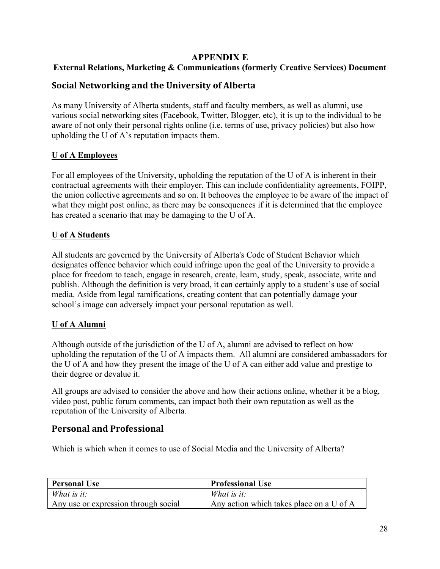## **APPENDIX E**

# **External Relations, Marketing & Communications (formerly Creative Services) Document**

# **Social Networking and the University of Alberta**

As many University of Alberta students, staff and faculty members, as well as alumni, use various social networking sites (Facebook, Twitter, Blogger, etc), it is up to the individual to be aware of not only their personal rights online (i.e. terms of use, privacy policies) but also how upholding the U of A's reputation impacts them.

## **U of A Employees**

For all employees of the University, upholding the reputation of the U of A is inherent in their contractual agreements with their employer. This can include confidentiality agreements, FOIPP, the union collective agreements and so on. It behooves the employee to be aware of the impact of what they might post online, as there may be consequences if it is determined that the employee has created a scenario that may be damaging to the U of A.

## **U of A Students**

All students are governed by the University of Alberta's Code of Student Behavior which designates offence behavior which could infringe upon the goal of the University to provide a place for freedom to teach, engage in research, create, learn, study, speak, associate, write and publish. Although the definition is very broad, it can certainly apply to a student's use of social media. Aside from legal ramifications, creating content that can potentially damage your school's image can adversely impact your personal reputation as well.

## **U of A Alumni**

Although outside of the jurisdiction of the U of A, alumni are advised to reflect on how upholding the reputation of the U of A impacts them. All alumni are considered ambassadors for the U of A and how they present the image of the U of A can either add value and prestige to their degree or devalue it.

All groups are advised to consider the above and how their actions online, whether it be a blog, video post, public forum comments, can impact both their own reputation as well as the reputation of the University of Alberta.

# **Personal and Professional**

Which is which when it comes to use of Social Media and the University of Alberta?

| <b>Personal Use</b>                  | <b>Professional Use</b>                  |
|--------------------------------------|------------------------------------------|
| What is it:                          | What is it:                              |
| Any use or expression through social | Any action which takes place on a U of A |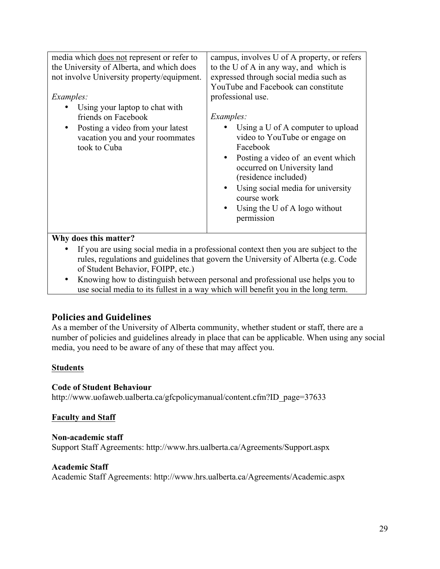| media which does not represent or refer to<br>the University of Alberta, and which does<br>not involve University property/equipment.<br><i>Examples:</i><br>Using your laptop to chat with<br>friends on Facebook<br>Posting a video from your latest<br>vacation you and your roommates<br>took to Cuba | campus, involves U of A property, or refers<br>to the U of A in any way, and which is<br>expressed through social media such as<br>YouTube and Facebook can constitute<br>professional use.<br><i>Examples:</i><br>Using a U of A computer to upload<br>video to YouTube or engage on<br>Facebook<br>Posting a video of an event which<br>occurred on University land<br>(residence included)<br>Using social media for university<br>$\bullet$<br>course work<br>Using the U of A logo without<br>permission |
|-----------------------------------------------------------------------------------------------------------------------------------------------------------------------------------------------------------------------------------------------------------------------------------------------------------|---------------------------------------------------------------------------------------------------------------------------------------------------------------------------------------------------------------------------------------------------------------------------------------------------------------------------------------------------------------------------------------------------------------------------------------------------------------------------------------------------------------|
| Why does this matter?                                                                                                                                                                                                                                                                                     |                                                                                                                                                                                                                                                                                                                                                                                                                                                                                                               |
|                                                                                                                                                                                                                                                                                                           | If you are using social media in a professional context then you are subject to the                                                                                                                                                                                                                                                                                                                                                                                                                           |

- rules, regulations and guidelines that govern the University of Alberta (e.g. Code of Student Behavior, FOIPP, etc.)
- Knowing how to distinguish between personal and professional use helps you to use social media to its fullest in a way which will benefit you in the long term.

# **Policies and Guidelines**

As a member of the University of Alberta community, whether student or staff, there are a number of policies and guidelines already in place that can be applicable. When using any social media, you need to be aware of any of these that may affect you.

# **Students**

## **Code of Student Behaviour**

http://www.uofaweb.ualberta.ca/gfcpolicymanual/content.cfm?ID\_page=37633

## **Faculty and Staff**

### **Non-academic staff**

Support Staff Agreements: http://www.hrs.ualberta.ca/Agreements/Support.aspx

### **Academic Staff**

Academic Staff Agreements: http://www.hrs.ualberta.ca/Agreements/Academic.aspx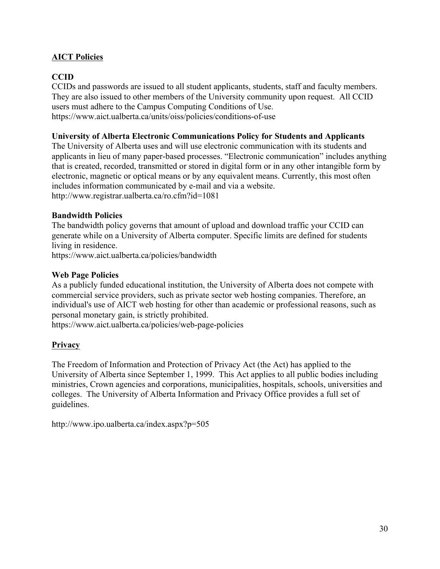# **AICT Policies**

# **CCID**

CCIDs and passwords are issued to all student applicants, students, staff and faculty members. They are also issued to other members of the University community upon request. All CCID users must adhere to the Campus Computing Conditions of Use. https://www.aict.ualberta.ca/units/oiss/policies/conditions-of-use

### **University of Alberta Electronic Communications Policy for Students and Applicants**

The University of Alberta uses and will use electronic communication with its students and applicants in lieu of many paper-based processes. "Electronic communication" includes anything that is created, recorded, transmitted or stored in digital form or in any other intangible form by electronic, magnetic or optical means or by any equivalent means. Currently, this most often includes information communicated by e-mail and via a website. http://www.registrar.ualberta.ca/ro.cfm?id=1081

## **Bandwidth Policies**

The bandwidth policy governs that amount of upload and download traffic your CCID can generate while on a University of Alberta computer. Specific limits are defined for students living in residence.

https://www.aict.ualberta.ca/policies/bandwidth

## **Web Page Policies**

As a publicly funded educational institution, the University of Alberta does not compete with commercial service providers, such as private sector web hosting companies. Therefore, an individual's use of AICT web hosting for other than academic or professional reasons, such as personal monetary gain, is strictly prohibited.

https://www.aict.ualberta.ca/policies/web-page-policies

## **Privacy**

The Freedom of Information and Protection of Privacy Act (the Act) has applied to the University of Alberta since September 1, 1999. This Act applies to all public bodies including ministries, Crown agencies and corporations, municipalities, hospitals, schools, universities and colleges. The University of Alberta Information and Privacy Office provides a full set of guidelines.

http://www.ipo.ualberta.ca/index.aspx?p=505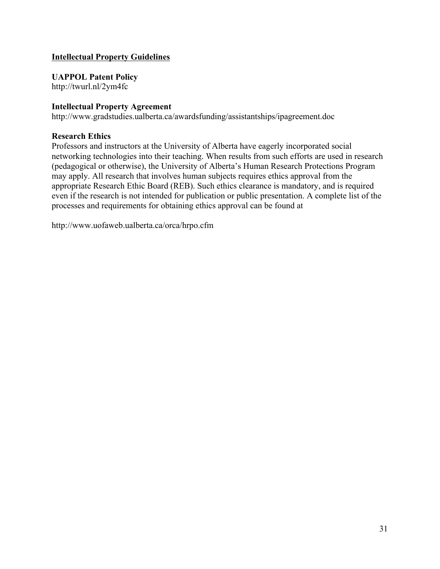## **Intellectual Property Guidelines**

**UAPPOL Patent Policy**

http://twurl.nl/2ym4fc

### **Intellectual Property Agreement**

http://www.gradstudies.ualberta.ca/awardsfunding/assistantships/ipagreement.doc

### **Research Ethics**

Professors and instructors at the University of Alberta have eagerly incorporated social networking technologies into their teaching. When results from such efforts are used in research (pedagogical or otherwise), the University of Alberta's Human Research Protections Program may apply. All research that involves human subjects requires ethics approval from the appropriate Research Ethic Board (REB). Such ethics clearance is mandatory, and is required even if the research is not intended for publication or public presentation. A complete list of the processes and requirements for obtaining ethics approval can be found at

http://www.uofaweb.ualberta.ca/orca/hrpo.cfm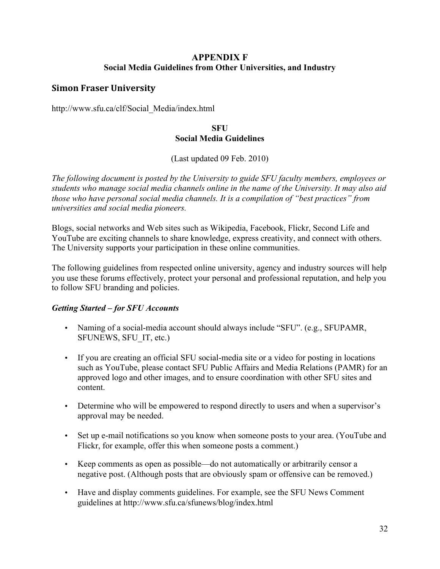# **APPENDIX F Social Media Guidelines from Other Universities, and Industry**

# **Simon Fraser University**

http://www.sfu.ca/clf/Social\_Media/index.html

## **SFU Social Media Guidelines**

(Last updated 09 Feb. 2010)

*The following document is posted by the University to guide SFU faculty members, employees or students who manage social media channels online in the name of the University. It may also aid those who have personal social media channels. It is a compilation of "best practices" from universities and social media pioneers.*

Blogs, social networks and Web sites such as Wikipedia, Facebook, Flickr, Second Life and YouTube are exciting channels to share knowledge, express creativity, and connect with others. The University supports your participation in these online communities.

The following guidelines from respected online university, agency and industry sources will help you use these forums effectively, protect your personal and professional reputation, and help you to follow SFU branding and policies.

# *Getting Started – for SFU Accounts*

- Naming of a social-media account should always include "SFU". (e.g., SFUPAMR, SFUNEWS, SFU\_IT, etc.)
- If you are creating an official SFU social-media site or a video for posting in locations such as YouTube, please contact SFU Public Affairs and Media Relations (PAMR) for an approved logo and other images, and to ensure coordination with other SFU sites and content.
- Determine who will be empowered to respond directly to users and when a supervisor's approval may be needed.
- Set up e-mail notifications so you know when someone posts to your area. (YouTube and Flickr, for example, offer this when someone posts a comment.)
- Keep comments as open as possible—do not automatically or arbitrarily censor a negative post. (Although posts that are obviously spam or offensive can be removed.)
- Have and display comments guidelines. For example, see the SFU News Comment guidelines at http://www.sfu.ca/sfunews/blog/index.html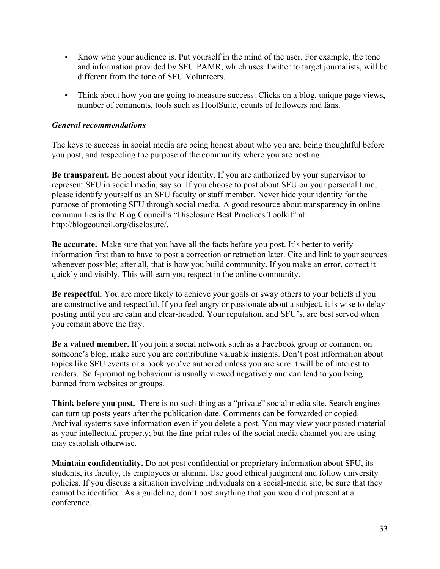- Know who your audience is. Put yourself in the mind of the user. For example, the tone and information provided by SFU PAMR, which uses Twitter to target journalists, will be different from the tone of SFU Volunteers.
- Think about how you are going to measure success: Clicks on a blog, unique page views, number of comments, tools such as HootSuite, counts of followers and fans.

### *General recommendations*

The keys to success in social media are being honest about who you are, being thoughtful before you post, and respecting the purpose of the community where you are posting.

**Be transparent.** Be honest about your identity. If you are authorized by your supervisor to represent SFU in social media, say so. If you choose to post about SFU on your personal time, please identify yourself as an SFU faculty or staff member. Never hide your identity for the purpose of promoting SFU through social media. A good resource about transparency in online communities is the Blog Council's "Disclosure Best Practices Toolkit" at http://blogcouncil.org/disclosure/.

**Be accurate.** Make sure that you have all the facts before you post. It's better to verify information first than to have to post a correction or retraction later. Cite and link to your sources whenever possible; after all, that is how you build community. If you make an error, correct it quickly and visibly. This will earn you respect in the online community.

**Be respectful.** You are more likely to achieve your goals or sway others to your beliefs if you are constructive and respectful. If you feel angry or passionate about a subject, it is wise to delay posting until you are calm and clear-headed. Your reputation, and SFU's, are best served when you remain above the fray.

**Be a valued member.** If you join a social network such as a Facebook group or comment on someone's blog, make sure you are contributing valuable insights. Don't post information about topics like SFU events or a book you've authored unless you are sure it will be of interest to readers. Self-promoting behaviour is usually viewed negatively and can lead to you being banned from websites or groups.

**Think before you post.** There is no such thing as a "private" social media site. Search engines can turn up posts years after the publication date. Comments can be forwarded or copied. Archival systems save information even if you delete a post. You may view your posted material as your intellectual property; but the fine-print rules of the social media channel you are using may establish otherwise.

**Maintain confidentiality.** Do not post confidential or proprietary information about SFU, its students, its faculty, its employees or alumni. Use good ethical judgment and follow university policies. If you discuss a situation involving individuals on a social-media site, be sure that they cannot be identified. As a guideline, don't post anything that you would not present at a conference.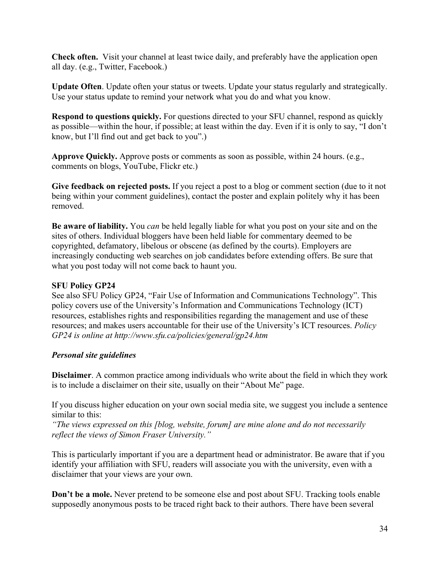**Check often.** Visit your channel at least twice daily, and preferably have the application open all day. (e.g., Twitter, Facebook.)

**Update Often**. Update often your status or tweets. Update your status regularly and strategically. Use your status update to remind your network what you do and what you know.

**Respond to questions quickly.** For questions directed to your SFU channel, respond as quickly as possible—within the hour, if possible; at least within the day. Even if it is only to say, "I don't know, but I'll find out and get back to you".)

**Approve Quickly.** Approve posts or comments as soon as possible, within 24 hours. (e.g., comments on blogs, YouTube, Flickr etc.)

**Give feedback on rejected posts.** If you reject a post to a blog or comment section (due to it not being within your comment guidelines), contact the poster and explain politely why it has been removed.

**Be aware of liability.** You *can* be held legally liable for what you post on your site and on the sites of others. Individual bloggers have been held liable for commentary deemed to be copyrighted, defamatory, libelous or obscene (as defined by the courts). Employers are increasingly conducting web searches on job candidates before extending offers. Be sure that what you post today will not come back to haunt you.

### **SFU Policy GP24**

See also SFU Policy GP24, "Fair Use of Information and Communications Technology". This policy covers use of the University's Information and Communications Technology (ICT) resources, establishes rights and responsibilities regarding the management and use of these resources; and makes users accountable for their use of the University's ICT resources. *Policy GP24 is online at http://www.sfu.ca/policies/general/gp24.htm*

## *Personal site guidelines*

**Disclaimer**. A common practice among individuals who write about the field in which they work is to include a disclaimer on their site, usually on their "About Me" page.

If you discuss higher education on your own social media site, we suggest you include a sentence similar to this:

*"The views expressed on this [blog, website, forum] are mine alone and do not necessarily reflect the views of Simon Fraser University."* 

This is particularly important if you are a department head or administrator. Be aware that if you identify your affiliation with SFU, readers will associate you with the university, even with a disclaimer that your views are your own.

**Don't be a mole.** Never pretend to be someone else and post about SFU. Tracking tools enable supposedly anonymous posts to be traced right back to their authors. There have been several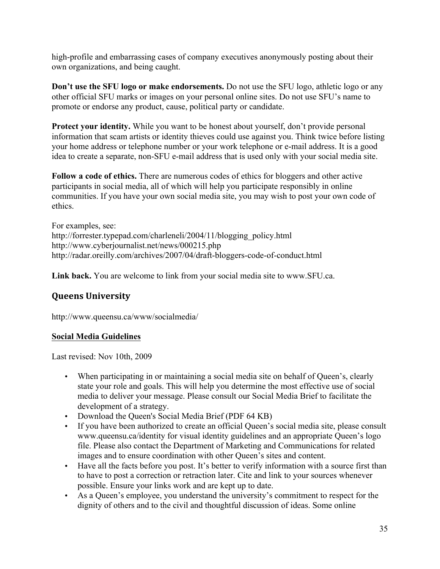high-profile and embarrassing cases of company executives anonymously posting about their own organizations, and being caught.

**Don't use the SFU logo or make endorsements.** Do not use the SFU logo, athletic logo or any other official SFU marks or images on your personal online sites. Do not use SFU's name to promote or endorse any product, cause, political party or candidate.

**Protect your identity.** While you want to be honest about yourself, don't provide personal information that scam artists or identity thieves could use against you. Think twice before listing your home address or telephone number or your work telephone or e-mail address. It is a good idea to create a separate, non-SFU e-mail address that is used only with your social media site.

**Follow a code of ethics.** There are numerous codes of ethics for bloggers and other active participants in social media, all of which will help you participate responsibly in online communities. If you have your own social media site, you may wish to post your own code of ethics.

For examples, see: http://forrester.typepad.com/charleneli/2004/11/blogging\_policy.html http://www.cyberjournalist.net/news/000215.php http://radar.oreilly.com/archives/2007/04/draft-bloggers-code-of-conduct.html

**Link back.** You are welcome to link from your social media site to www.SFU.ca.

# **Queens University**

http://www.queensu.ca/www/socialmedia/

## **Social Media Guidelines**

Last revised: Nov 10th, 2009

- When participating in or maintaining a social media site on behalf of Queen's, clearly state your role and goals. This will help you determine the most effective use of social media to deliver your message. Please consult our Social Media Brief to facilitate the development of a strategy.
- Download the Queen's Social Media Brief (PDF 64 KB)
- If you have been authorized to create an official Queen's social media site, please consult www.queensu.ca/identity for visual identity guidelines and an appropriate Queen's logo file. Please also contact the Department of Marketing and Communications for related images and to ensure coordination with other Queen's sites and content.
- Have all the facts before you post. It's better to verify information with a source first than to have to post a correction or retraction later. Cite and link to your sources whenever possible. Ensure your links work and are kept up to date.
- As a Queen's employee, you understand the university's commitment to respect for the dignity of others and to the civil and thoughtful discussion of ideas. Some online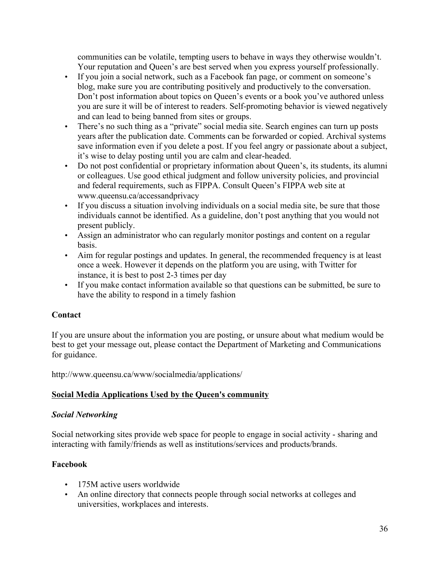communities can be volatile, tempting users to behave in ways they otherwise wouldn't. Your reputation and Queen's are best served when you express yourself professionally.

- If you join a social network, such as a Facebook fan page, or comment on someone's blog, make sure you are contributing positively and productively to the conversation. Don't post information about topics on Queen's events or a book you've authored unless you are sure it will be of interest to readers. Self-promoting behavior is viewed negatively and can lead to being banned from sites or groups.
- There's no such thing as a "private" social media site. Search engines can turn up posts years after the publication date. Comments can be forwarded or copied. Archival systems save information even if you delete a post. If you feel angry or passionate about a subject, it's wise to delay posting until you are calm and clear-headed.
- Do not post confidential or proprietary information about Queen's, its students, its alumni or colleagues. Use good ethical judgment and follow university policies, and provincial and federal requirements, such as FIPPA. Consult Queen's FIPPA web site at www.queensu.ca/accessandprivacy
- If you discuss a situation involving individuals on a social media site, be sure that those individuals cannot be identified. As a guideline, don't post anything that you would not present publicly.
- Assign an administrator who can regularly monitor postings and content on a regular basis.
- Aim for regular postings and updates. In general, the recommended frequency is at least once a week. However it depends on the platform you are using, with Twitter for instance, it is best to post 2-3 times per day
- If you make contact information available so that questions can be submitted, be sure to have the ability to respond in a timely fashion

# **Contact**

If you are unsure about the information you are posting, or unsure about what medium would be best to get your message out, please contact the Department of Marketing and Communications for guidance.

http://www.queensu.ca/www/socialmedia/applications/

# **Social Media Applications Used by the Queen's community**

# *Social Networking*

Social networking sites provide web space for people to engage in social activity - sharing and interacting with family/friends as well as institutions/services and products/brands.

# **Facebook**

- 175M active users worldwide
- An online directory that connects people through social networks at colleges and universities, workplaces and interests.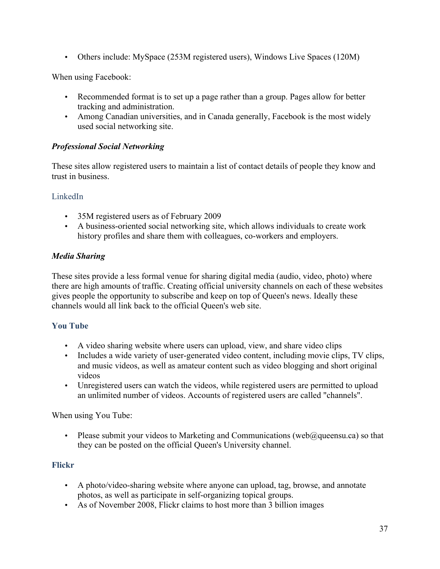• Others include: MySpace (253M registered users), Windows Live Spaces (120M)

When using Facebook:

- Recommended format is to set up a page rather than a group. Pages allow for better tracking and administration.
- Among Canadian universities, and in Canada generally, Facebook is the most widely used social networking site.

# *Professional Social Networking*

These sites allow registered users to maintain a list of contact details of people they know and trust in business.

## LinkedIn

- 35M registered users as of February 2009
- A business-oriented social networking site, which allows individuals to create work history profiles and share them with colleagues, co-workers and employers.

# *Media Sharing*

These sites provide a less formal venue for sharing digital media (audio, video, photo) where there are high amounts of traffic. Creating official university channels on each of these websites gives people the opportunity to subscribe and keep on top of Queen's news. Ideally these channels would all link back to the official Queen's web site.

# **You Tube**

- A video sharing website where users can upload, view, and share video clips
- Includes a wide variety of user-generated video content, including movie clips, TV clips, and music videos, as well as amateur content such as video blogging and short original videos
- Unregistered users can watch the videos, while registered users are permitted to upload an unlimited number of videos. Accounts of registered users are called "channels".

When using You Tube:

• Please submit your videos to Marketing and Communications (web@queensu.ca) so that they can be posted on the official Queen's University channel.

# **Flickr**

- A photo/video-sharing website where anyone can upload, tag, browse, and annotate photos, as well as participate in self-organizing topical groups.
- As of November 2008, Flickr claims to host more than 3 billion images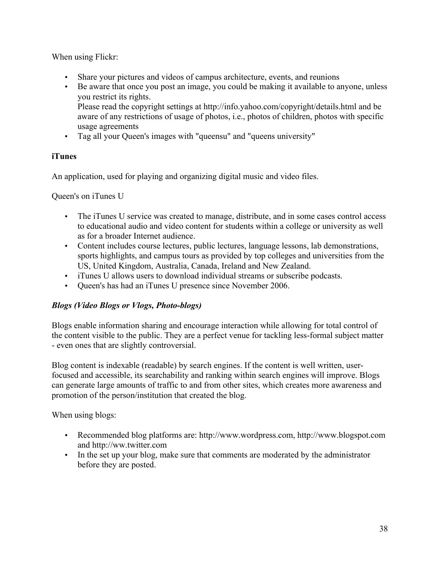When using Flickr:

- Share your pictures and videos of campus architecture, events, and reunions
- Be aware that once you post an image, you could be making it available to anyone, unless you restrict its rights. Please read the copyright settings at http://info.yahoo.com/copyright/details.html and be aware of any restrictions of usage of photos, i.e., photos of children, photos with specific
- usage agreements • Tag all your Queen's images with "queensu" and "queens university"

# **iTunes**

An application, used for playing and organizing digital music and video files.

Queen's on iTunes U

- The iTunes U service was created to manage, distribute, and in some cases control access to educational audio and video content for students within a college or university as well as for a broader Internet audience.
- Content includes course lectures, public lectures, language lessons, lab demonstrations, sports highlights, and campus tours as provided by top colleges and universities from the US, United Kingdom, Australia, Canada, Ireland and New Zealand.
- iTunes U allows users to download individual streams or subscribe podcasts.
- Queen's has had an iTunes U presence since November 2006.

# *Blogs (Video Blogs or Vlogs, Photo-blogs)*

Blogs enable information sharing and encourage interaction while allowing for total control of the content visible to the public. They are a perfect venue for tackling less-formal subject matter - even ones that are slightly controversial.

Blog content is indexable (readable) by search engines. If the content is well written, userfocused and accessible, its searchability and ranking within search engines will improve. Blogs can generate large amounts of traffic to and from other sites, which creates more awareness and promotion of the person/institution that created the blog.

When using blogs:

- Recommended blog platforms are: http://www.wordpress.com, http://www.blogspot.com and http://ww.twitter.com
- In the set up your blog, make sure that comments are moderated by the administrator before they are posted.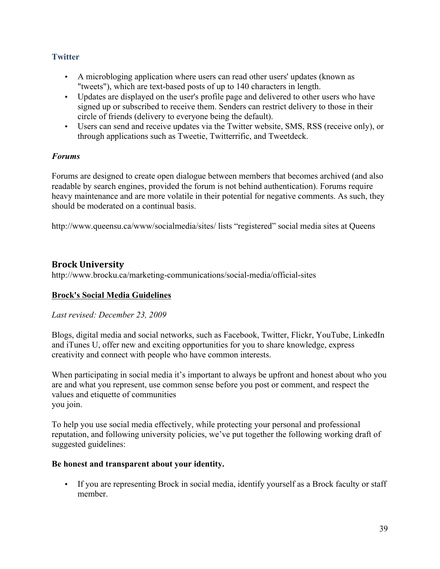# **Twitter**

- A microbloging application where users can read other users' updates (known as "tweets"), which are text-based posts of up to 140 characters in length.
- Updates are displayed on the user's profile page and delivered to other users who have signed up or subscribed to receive them. Senders can restrict delivery to those in their circle of friends (delivery to everyone being the default).
- Users can send and receive updates via the Twitter website, SMS, RSS (receive only), or through applications such as Tweetie, Twitterrific, and Tweetdeck.

## *Forums*

Forums are designed to create open dialogue between members that becomes archived (and also readable by search engines, provided the forum is not behind authentication). Forums require heavy maintenance and are more volatile in their potential for negative comments. As such, they should be moderated on a continual basis.

http://www.queensu.ca/www/socialmedia/sites/ lists "registered" social media sites at Queens

# **Brock University**

http://www.brocku.ca/marketing-communications/social-media/official-sites

# **Brock's Social Media Guidelines**

## *Last revised: December 23, 2009*

Blogs, digital media and social networks, such as Facebook, Twitter, Flickr, YouTube, LinkedIn and iTunes U, offer new and exciting opportunities for you to share knowledge, express creativity and connect with people who have common interests.

When participating in social media it's important to always be upfront and honest about who you are and what you represent, use common sense before you post or comment, and respect the values and etiquette of communities you join.

To help you use social media effectively, while protecting your personal and professional reputation, and following university policies, we've put together the following working draft of suggested guidelines:

## **Be honest and transparent about your identity.**

• If you are representing Brock in social media, identify yourself as a Brock faculty or staff member.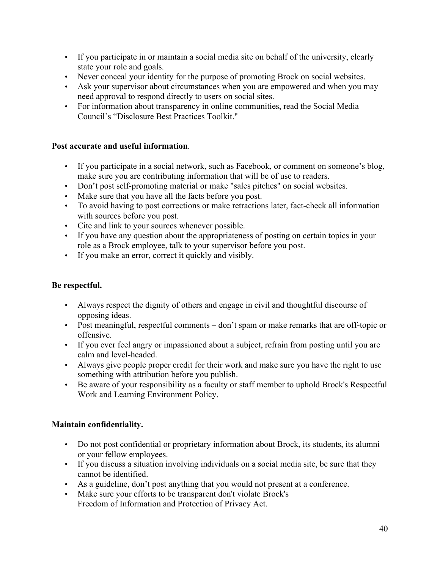- If you participate in or maintain a social media site on behalf of the university, clearly state your role and goals.
- Never conceal your identity for the purpose of promoting Brock on social websites.
- Ask your supervisor about circumstances when you are empowered and when you may need approval to respond directly to users on social sites.
- For information about transparency in online communities, read the Social Media Council's "Disclosure Best Practices Toolkit."

## **Post accurate and useful information**.

- If you participate in a social network, such as Facebook, or comment on someone's blog, make sure you are contributing information that will be of use to readers.
- Don't post self-promoting material or make "sales pitches" on social websites.
- Make sure that you have all the facts before you post.
- To avoid having to post corrections or make retractions later, fact-check all information with sources before you post.
- Cite and link to your sources whenever possible.
- If you have any question about the appropriateness of posting on certain topics in your role as a Brock employee, talk to your supervisor before you post.
- If you make an error, correct it quickly and visibly.

## **Be respectful.**

- Always respect the dignity of others and engage in civil and thoughtful discourse of opposing ideas.
- Post meaningful, respectful comments don't spam or make remarks that are off-topic or offensive.
- If you ever feel angry or impassioned about a subject, refrain from posting until you are calm and level-headed.
- Always give people proper credit for their work and make sure you have the right to use something with attribution before you publish.
- Be aware of your responsibility as a faculty or staff member to uphold Brock's Respectful Work and Learning Environment Policy.

## **Maintain confidentiality.**

- Do not post confidential or proprietary information about Brock, its students, its alumni or your fellow employees.
- If you discuss a situation involving individuals on a social media site, be sure that they cannot be identified.
- As a guideline, don't post anything that you would not present at a conference.
- Make sure your efforts to be transparent don't violate Brock's Freedom of Information and Protection of Privacy Act.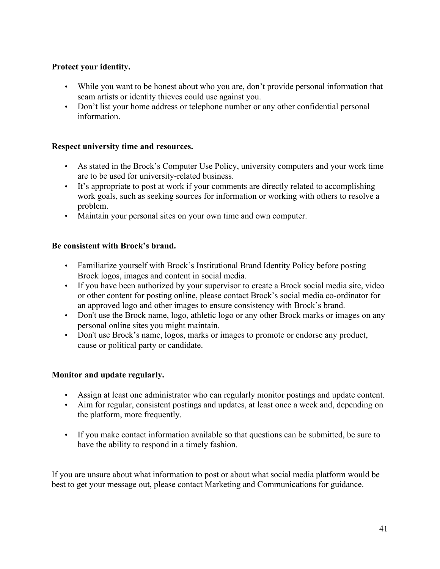## **Protect your identity.**

- While you want to be honest about who you are, don't provide personal information that scam artists or identity thieves could use against you.
- Don't list your home address or telephone number or any other confidential personal information.

## **Respect university time and resources.**

- As stated in the Brock's Computer Use Policy, university computers and your work time are to be used for university-related business.
- It's appropriate to post at work if your comments are directly related to accomplishing work goals, such as seeking sources for information or working with others to resolve a problem.
- Maintain your personal sites on your own time and own computer.

## **Be consistent with Brock's brand.**

- Familiarize yourself with Brock's Institutional Brand Identity Policy before posting Brock logos, images and content in social media.
- If you have been authorized by your supervisor to create a Brock social media site, video or other content for posting online, please contact Brock's social media co-ordinator for an approved logo and other images to ensure consistency with Brock's brand.
- Don't use the Brock name, logo, athletic logo or any other Brock marks or images on any personal online sites you might maintain.
- Don't use Brock's name, logos, marks or images to promote or endorse any product, cause or political party or candidate.

## **Monitor and update regularly.**

- Assign at least one administrator who can regularly monitor postings and update content.
- Aim for regular, consistent postings and updates, at least once a week and, depending on the platform, more frequently.
- If you make contact information available so that questions can be submitted, be sure to have the ability to respond in a timely fashion.

If you are unsure about what information to post or about what social media platform would be best to get your message out, please contact Marketing and Communications for guidance.